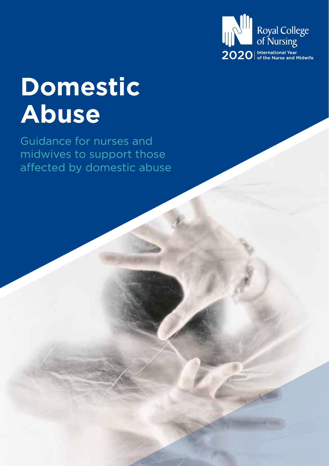

# **Domestic Abuse**

Guidance for nurses and midwives to support those affected by domestic abuse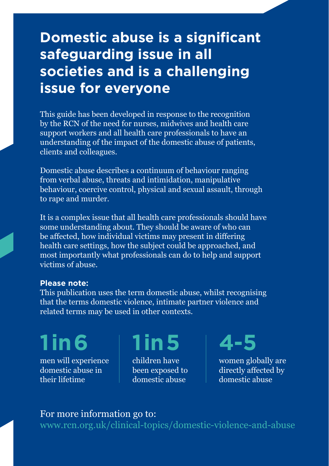### **Domestic abuse is a significant safeguarding issue in all societies and is a challenging issue for everyone**

This guide has been developed in response to the recognition by the RCN of the need for nurses, midwives and health care support workers and all health care professionals to have an understanding of the impact of the domestic abuse of patients, clients and colleagues.

Domestic abuse describes a continuum of behaviour ranging from verbal abuse, threats and intimidation, manipulative behaviour, coercive control, physical and sexual assault, through to rape and murder.

It is a complex issue that all health care professionals should have some understanding about. They should be aware of who can be affected, how individual victims may present in differing health care settings, how the subject could be approached, and most importantly what professionals can do to help and support victims of abuse.

#### **Please note:**

This publication uses the term domestic abuse, whilst recognising that the terms domestic violence, intimate partner violence and related terms may be used in other contexts.

men will experience domestic abuse in **1 in 6 1 in 5 4-5**

their lifetime

children have been exposed to domestic abuse

women globally are directly affected by domestic abuse

### For more information go to:

www.rcn.org.uk/clinical-topics/domestic-violence-and-abuse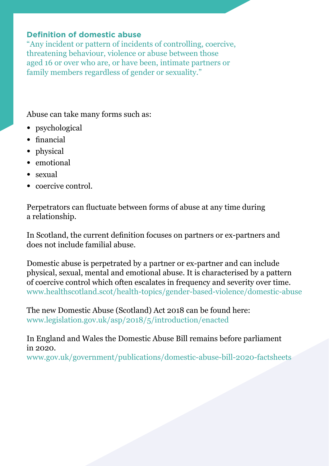### **Definition of domestic abuse**

"Any incident or pattern of incidents of controlling, coercive, threatening behaviour, violence or abuse between those aged 16 or over who are, or have been, intimate partners or family members regardless of gender or sexuality."

Abuse can take many forms such as:

- psychological
- financial
- physical
- emotional
- sexual
- coercive control.

Perpetrators can fluctuate between forms of abuse at any time during a relationship.

In Scotland, the current definition focuses on partners or ex-partners and does not include familial abuse.

Domestic abuse is perpetrated by a partner or ex-partner and can include physical, sexual, mental and emotional abuse. It is characterised by a pattern of coercive control which often escalates in frequency and severity over time. www.healthscotland.scot/health-topics/gender-based-violence/domestic-abuse

The new Domestic Abuse (Scotland) Act 2018 can be found here: www.legislation.gov.uk/asp/2018/5/introduction/enacted

In England and Wales the Domestic Abuse Bill remains before parliament in 2020. www.gov.uk/government/publications/domestic-abuse-bill-2020-factsheets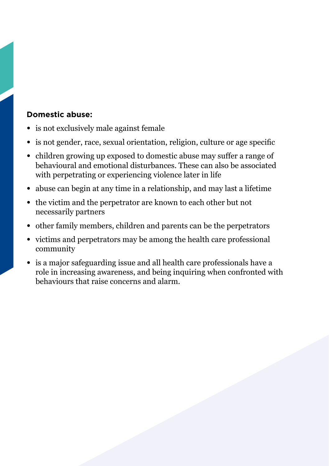### **Domestic abuse:**

- is not exclusively male against female
- is not gender, race, sexual orientation, religion, culture or age specific
- children growing up exposed to domestic abuse may suffer a range of behavioural and emotional disturbances. These can also be associated with perpetrating or experiencing violence later in life
- abuse can begin at any time in a relationship, and may last a lifetime
- the victim and the perpetrator are known to each other but not necessarily partners
- other family members, children and parents can be the perpetrators
- victims and perpetrators may be among the health care professional community
- is a major safeguarding issue and all health care professionals have a role in increasing awareness, and being inquiring when confronted with behaviours that raise concerns and alarm.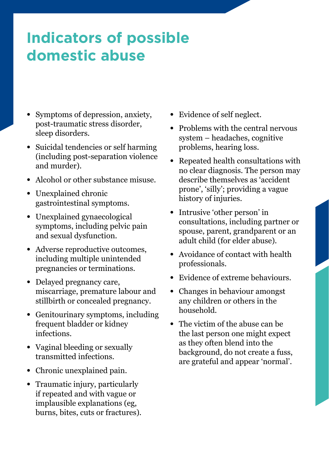# **Indicators of possible domestic abuse**

- Symptoms of depression, anxiety, post-traumatic stress disorder, sleep disorders.
- Suicidal tendencies or self harming (including post-separation violence and murder).
- Alcohol or other substance misuse.
- Unexplained chronic gastrointestinal symptoms.
- Unexplained gynaecological symptoms, including pelvic pain and sexual dysfunction.
- Adverse reproductive outcomes, including multiple unintended pregnancies or terminations.
- Delayed pregnancy care, miscarriage, premature labour and stillbirth or concealed pregnancy.
- Genitourinary symptoms, including frequent bladder or kidney infections.
- Vaginal bleeding or sexually transmitted infections.
- Chronic unexplained pain.
- Traumatic injury, particularly if repeated and with vague or implausible explanations (eg, burns, bites, cuts or fractures).
- Evidence of self neglect.
- Problems with the central nervous system – headaches, cognitive problems, hearing loss.
- Repeated health consultations with no clear diagnosis. The person may describe themselves as 'accident prone', 'silly'; providing a vague history of injuries.
- Intrusive 'other person' in consultations, including partner or spouse, parent, grandparent or an adult child (for elder abuse).
- Avoidance of contact with health professionals.
- Evidence of extreme behaviours.
- Changes in behaviour amongst any children or others in the household.
- The victim of the abuse can be the last person one might expect as they often blend into the background, do not create a fuss, are grateful and appear 'normal'.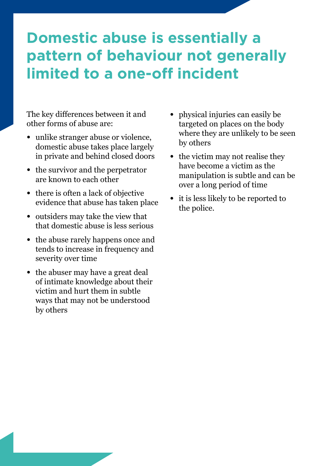## **Domestic abuse is essentially a pattern of behaviour not generally limited to a one-off incident**

The key differences between it and other forms of abuse are:

- unlike stranger abuse or violence, domestic abuse takes place largely in private and behind closed doors
- the survivor and the perpetrator are known to each other
- there is often a lack of objective evidence that abuse has taken place
- outsiders may take the view that that domestic abuse is less serious
- the abuse rarely happens once and tends to increase in frequency and severity over time
- the abuser may have a great deal of intimate knowledge about their victim and hurt them in subtle ways that may not be understood by others
- physical injuries can easily be targeted on places on the body where they are unlikely to be seen by others
- the victim may not realise they have become a victim as the manipulation is subtle and can be over a long period of time
- it is less likely to be reported to the police.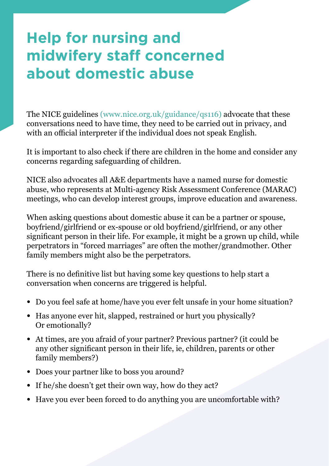# **Help for nursing and midwifery staff concerned about domestic abuse**

The NICE guidelines (www.nice.org.uk/guidance/qs116) advocate that these conversations need to have time, they need to be carried out in privacy, and with an official interpreter if the individual does not speak English.

It is important to also check if there are children in the home and consider any concerns regarding safeguarding of children.

NICE also advocates all A&E departments have a named nurse for domestic abuse, who represents at Multi-agency Risk Assessment Conference (MARAC) meetings, who can develop interest groups, improve education and awareness.

When asking questions about domestic abuse it can be a partner or spouse, boyfriend/girlfriend or ex-spouse or old boyfriend/girlfriend, or any other significant person in their life. For example, it might be a grown up child, while perpetrators in "forced marriages" are often the mother/grandmother. Other family members might also be the perpetrators.

There is no definitive list but having some key questions to help start a conversation when concerns are triggered is helpful.

- Do you feel safe at home/have you ever felt unsafe in your home situation?
- Has anyone ever hit, slapped, restrained or hurt you physically? Or emotionally?
- At times, are you afraid of your partner? Previous partner? (it could be any other significant person in their life, ie, children, parents or other family members?)
- Does your partner like to boss you around?
- If he/she doesn't get their own way, how do they act?
- Have you ever been forced to do anything you are uncomfortable with?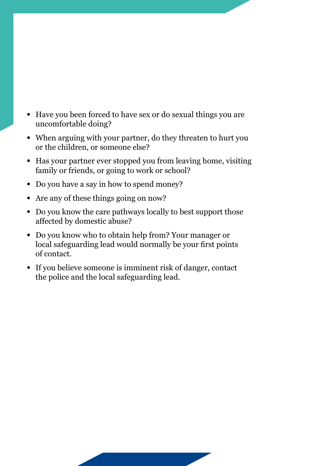- Have you been forced to have sex or do sexual things you are uncomfortable doing?
- When arguing with your partner, do they threaten to hurt you or the children, or someone else?
- Has your partner ever stopped you from leaving home, visiting family or friends, or going to work or school?
- Do you have a say in how to spend money?
- Are any of these things going on now?
- Do you know the care pathways locally to best support those affected by domestic abuse?
- Do you know who to obtain help from? Your manager or local safeguarding lead would normally be your first points of contact.
- If you believe someone is imminent risk of danger, contact the police and the local safeguarding lead.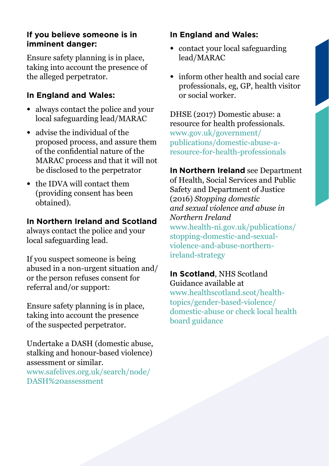### **If you believe someone is in imminent danger:**

Ensure safety planning is in place, taking into account the presence of the alleged perpetrator.

### **In England and Wales:**

- always contact the police and your local safeguarding lead/MARAC
- advise the individual of the proposed process, and assure them of the confidential nature of the MARAC process and that it will not be disclosed to the perpetrator
- the IDVA will contact them (providing consent has been obtained).

### **In Northern Ireland and Scotland**

always contact the police and your local safeguarding lead.

If you suspect someone is being abused in a non-urgent situation and/ or the person refuses consent for referral and/or support:

Ensure safety planning is in place, taking into account the presence of the suspected perpetrator.

Undertake a DASH (domestic abuse, stalking and honour-based violence) assessment or similar. www.safelives.org.uk/search/node/ DASH%20assessment

### **In England and Wales:**

- contact your local safeguarding lead/MARAC
- inform other health and social care professionals, eg, GP, health visitor or social worker.

DHSE (2017) Domestic abuse: a resource for health professionals. www.gov.uk/government/ publications/domestic-abuse-aresource-for-health-professionals

**In Northern Ireland** see Department of Health, Social Services and Public Safety and Department of Justice (2016) *Stopping domestic and sexual violence and abuse in Northern Ireland*  www.health-ni.gov.uk/publications/ stopping-domestic-and-sexualviolence-and-abuse-northernireland-strategy

**In Scotland**, NHS Scotland Guidance available at www.healthscotland.scot/healthtopics/gender-based-violence/ domestic-abuse or check local health board guidance